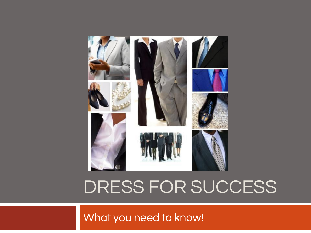

## DRESS FOR SUCCESS

What you need to know!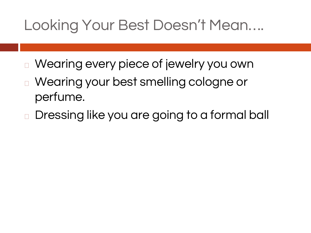#### Looking Your Best Doesn't Mean….

- <sup>◻</sup> Wearing every piece of jewelry you own
- <sup>◻</sup> Wearing your best smelling cologne or perfume.
- <sup>◻</sup> Dressing like you are going to a formal ball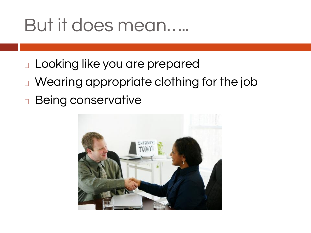### But it does mean…..

- <sup>◻</sup> Looking like you are prepared
- <sup>◻</sup> Wearing appropriate clothing for the job <sup>◻</sup> Being conservative

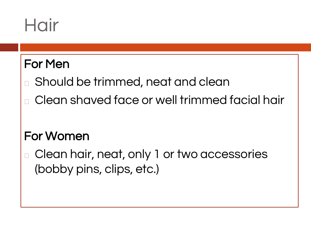# Hair

#### For Men

- □ Should be trimmed, neat and clean
- <sup>◻</sup> Clean shaved face or well trimmed facial hair

#### For Women

Clean hair, neat, only 1 or two accessories (bobby pins, clips, etc.)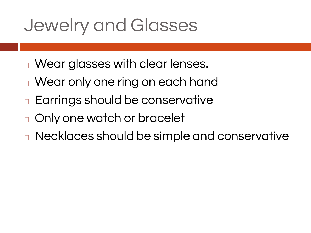# Jewelry and Glasses

- <sup>◻</sup> Wear glasses with clear lenses.
- Wear only one ring on each hand
- Earrings should be conservative
- <sup>◻</sup> Only one watch or bracelet
- <sup>◻</sup> Necklaces should be simple and conservative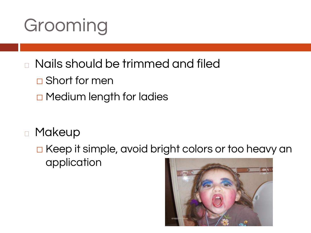# Grooming

- <sup>◻</sup> Nails should be trimmed and filed
	- □ Short for men
	- □ Medium length for ladies
- <sup>◻</sup> Makeup
	- □ Keep it simple, avoid bright colors or too heavy an application

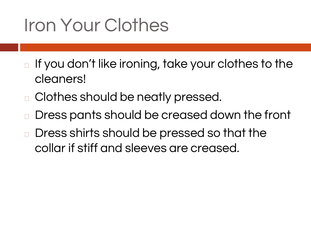# Iron Your Clothes

- □ If you don't like ironing, take your clothes to the cleaners!
- <sup>◻</sup> Clothes should be neatly pressed.
- Dress pants should be creased down the front
- Dress shirts should be pressed so that the collar if stiff and sleeves are creased.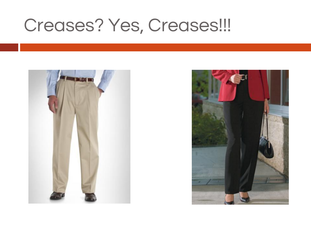#### Creases? Yes, Creases!!!



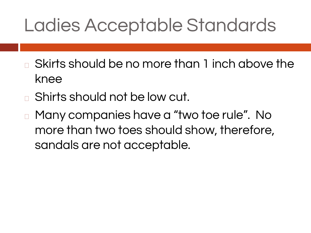# Ladies Acceptable Standards

- <sup>◻</sup> Skirts should be no more than 1 inch above the knee
- <sup>◻</sup> Shirts should not be low cut.
- <sup>◻</sup> Many companies have a "two toe rule". No more than two toes should show, therefore, sandals are not acceptable.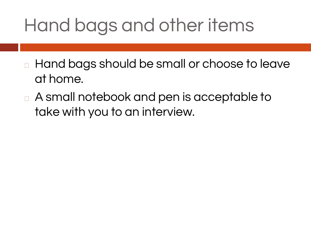# Hand bags and other items

- <sup>◻</sup> Hand bags should be small or choose to leave at home.
- <sup>◻</sup> A small notebook and pen is acceptable to take with you to an interview.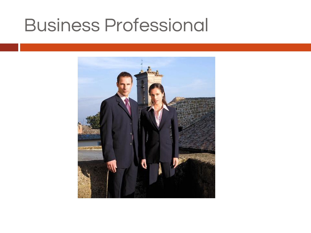#### Business Professional

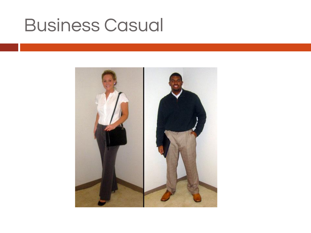### Business Casual

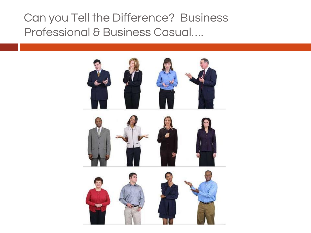Can you Tell the Difference? Business Professional & Business Casual….

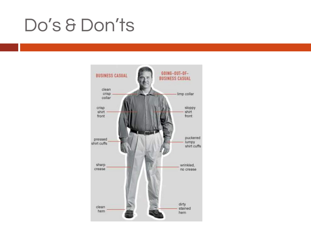#### Do's & Don'ts